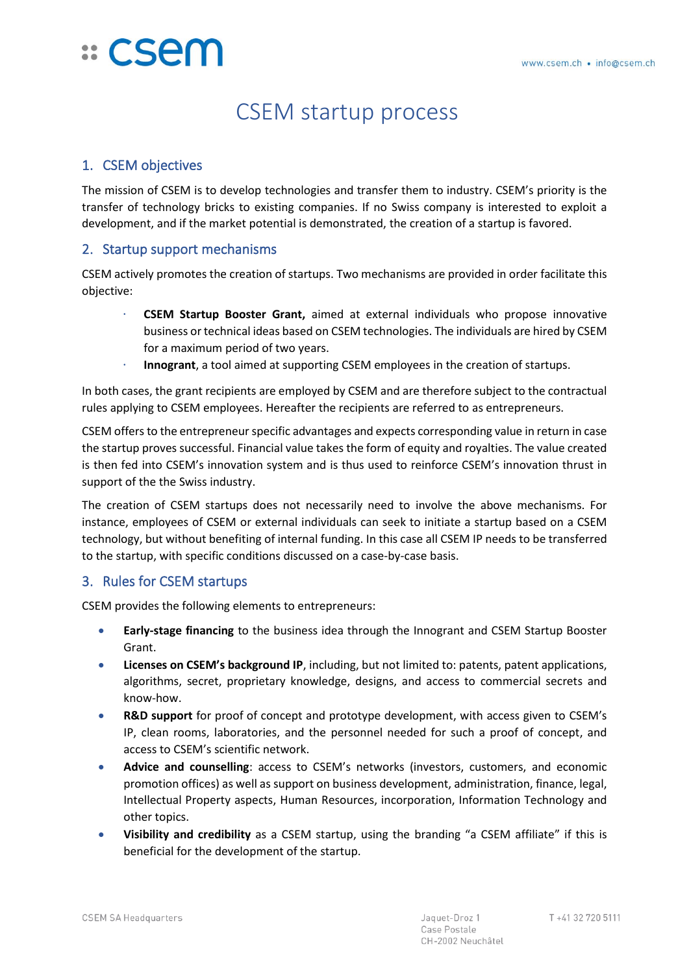# <u>:: CSem</u>

# CSEM startup process

# 1. CSEM objectives

The mission of CSEM is to develop technologies and transfer them to industry. CSEM's priority is the transfer of technology bricks to existing companies. If no Swiss company is interested to exploit a development, and if the market potential is demonstrated, the creation of a startup is favored.

#### 2. Startup support mechanisms

CSEM actively promotes the creation of startups. Two mechanisms are provided in order facilitate this objective:

- **CSEM Startup Booster Grant,** aimed at external individuals who propose innovative business or technical ideas based on CSEM technologies. The individuals are hired by CSEM for a maximum period of two years.
- **Innogrant**, a tool aimed at supporting CSEM employees in the creation of startups.

In both cases, the grant recipients are employed by CSEM and are therefore subject to the contractual rules applying to CSEM employees. Hereafter the recipients are referred to as entrepreneurs.

CSEM offers to the entrepreneurspecific advantages and expects corresponding value in return in case the startup proves successful. Financial value takes the form of equity and royalties. The value created is then fed into CSEM's innovation system and is thus used to reinforce CSEM's innovation thrust in support of the the Swiss industry.

The creation of CSEM startups does not necessarily need to involve the above mechanisms. For instance, employees of CSEM or external individuals can seek to initiate a startup based on a CSEM technology, but without benefiting of internal funding. In this case all CSEM IP needs to be transferred to the startup, with specific conditions discussed on a case-by-case basis.

## 3. Rules for CSEM startups

CSEM provides the following elements to entrepreneurs:

- **Early-stage financing** to the business idea through the Innogrant and CSEM Startup Booster Grant.
- Licenses on CSEM's background IP, including, but not limited to: patents, patent applications, algorithms, secret, proprietary knowledge, designs, and access to commercial secrets and know-how.
- **R&D support** for proof of concept and prototype development, with access given to CSEM's IP, clean rooms, laboratories, and the personnel needed for such a proof of concept, and access to CSEM's scientific network.
- **Advice and counselling**: access to CSEM's networks (investors, customers, and economic promotion offices) as well as support on business development, administration, finance, legal, Intellectual Property aspects, Human Resources, incorporation, Information Technology and other topics.
- **Visibility and credibility** as a CSEM startup, using the branding "a CSEM affiliate" if this is beneficial for the development of the startup.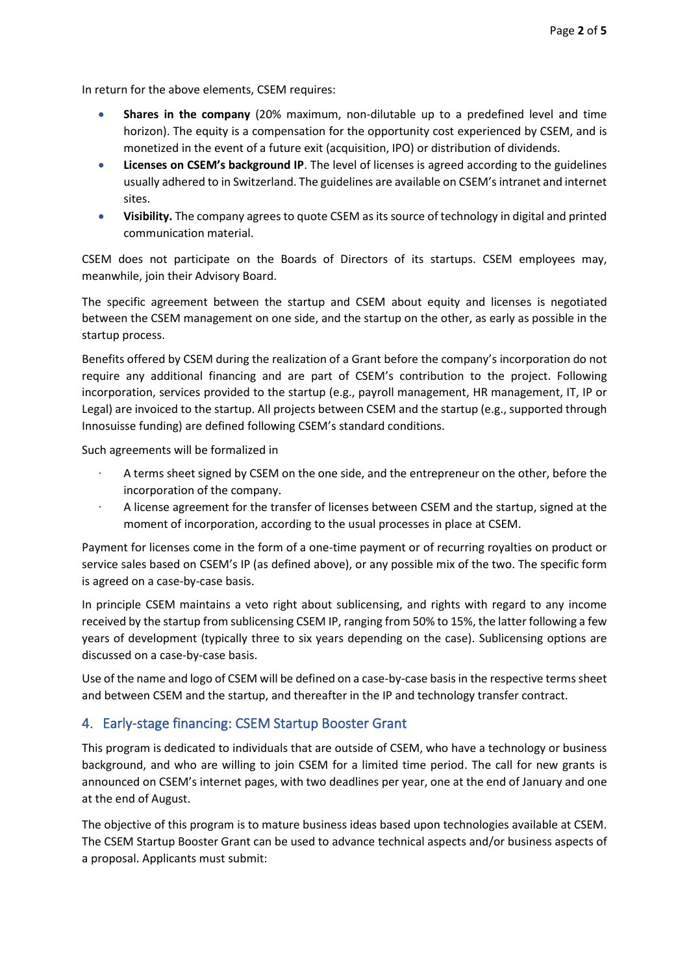In return for the above elements, CSEM requires:

- **Shares in the company** (20% maximum, non-dilutable up to a predefined level and time horizon). The equity is a compensation for the opportunity cost experienced by CSEM, and is monetized in the event of a future exit (acquisition, IPO) or distribution of dividends.
- **Licenses on CSEM's background IP**. The level of licenses is agreed according to the guidelines usually adhered to in Switzerland. The guidelines are available on CSEM'sintranet and internet sites.
- **Visibility.** The company agrees to quote CSEM as its source of technology in digital and printed communication material.

CSEM does not participate on the Boards of Directors of its startups. CSEM employees may, meanwhile, join their Advisory Board.

The specific agreement between the startup and CSEM about equity and licenses is negotiated between the CSEM management on one side, and the startup on the other, as early as possible in the startup process.

Benefits offered by CSEM during the realization of a Grant before the company's incorporation do not require any additional financing and are part of CSEM's contribution to the project. Following incorporation, services provided to the startup (e.g., payroll management, HR management, IT, IP or Legal) are invoiced to the startup. All projects between CSEM and the startup (e.g., supported through Innosuisse funding) are defined following CSEM's standard conditions.

Such agreements will be formalized in

- A terms sheet signed by CSEM on the one side, and the entrepreneur on the other, before the incorporation of the company.
- A license agreement for the transfer of licenses between CSEM and the startup, signed at the moment of incorporation, according to the usual processes in place at CSEM.

Payment for licenses come in the form of a one-time payment or of recurring royalties on product or service sales based on CSEM's IP (as defined above), or any possible mix of the two. The specific form is agreed on a case-by-case basis.

In principle CSEM maintains a veto right about sublicensing, and rights with regard to any income received by the startup from sublicensing CSEM IP, ranging from 50% to 15%, the latter following a few years of development (typically three to six years depending on the case). Sublicensing options are discussed on a case-by-case basis.

Use of the name and logo of CSEM will be defined on a case-by-case basis in the respective terms sheet and between CSEM and the startup, and thereafter in the IP and technology transfer contract.

#### 4. Early-stage financing: CSEM Startup Booster Grant

This program is dedicated to individuals that are outside of CSEM, who have a technology or business background, and who are willing to join CSEM for a limited time period. The call for new grants is announced on CSEM's internet pages, with two deadlines per year, one at the end of January and one at the end of August.

The objective of this program is to mature business ideas based upon technologies available at CSEM. The CSEM Startup Booster Grant can be used to advance technical aspects and/or business aspects of a proposal. Applicants must submit: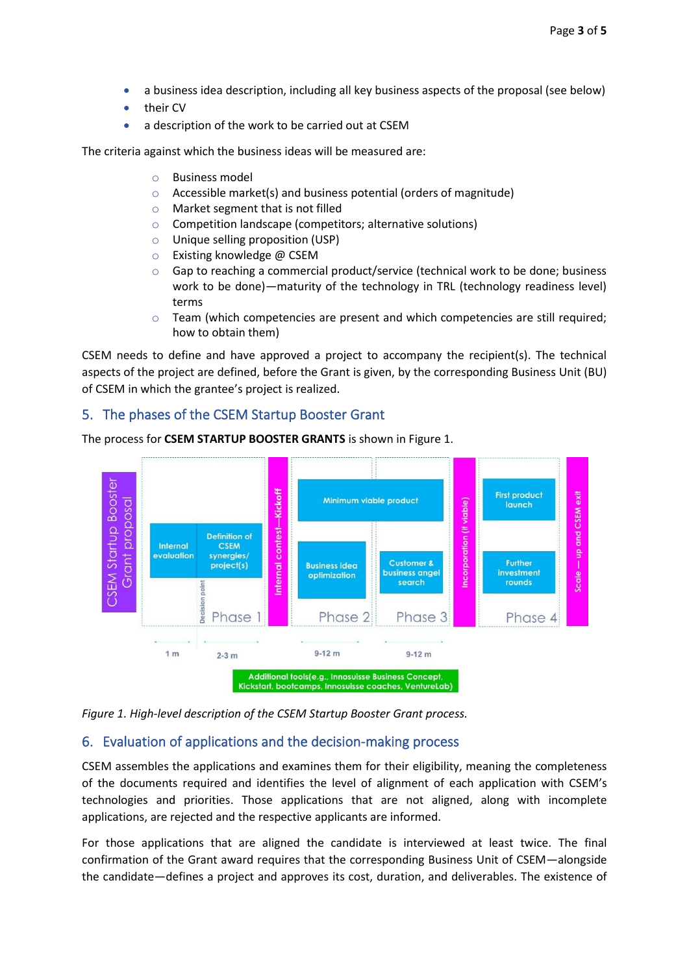- a business idea description, including all key business aspects of the proposal (see below)
- their CV
- a description of the work to be carried out at CSEM

The criteria against which the business ideas will be measured are:

- o Business model
- $\circ$  Accessible market(s) and business potential (orders of magnitude)
- o Market segment that is not filled
- o Competition landscape (competitors; alternative solutions)
- o Unique selling proposition (USP)
- o Existing knowledge @ CSEM
- $\circ$  Gap to reaching a commercial product/service (technical work to be done; business work to be done)—maturity of the technology in TRL (technology readiness level) terms
- $\circ$  Team (which competencies are present and which competencies are still required; how to obtain them)

CSEM needs to define and have approved a project to accompany the recipient(s). The technical aspects of the project are defined, before the Grant is given, by the corresponding Business Unit (BU) of CSEM in which the grantee's project is realized.

#### 5. The phases of the CSEM Startup Booster Grant



The process for **CSEM STARTUP BOOSTER GRANTS** is shown in Figure 1.

*Figure 1. High-level description of the CSEM Startup Booster Grant process.*

#### 6. Evaluation of applications and the decision-making process

CSEM assembles the applications and examines them for their eligibility, meaning the completeness of the documents required and identifies the level of alignment of each application with CSEM's technologies and priorities. Those applications that are not aligned, along with incomplete applications, are rejected and the respective applicants are informed.

For those applications that are aligned the candidate is interviewed at least twice. The final confirmation of the Grant award requires that the corresponding Business Unit of CSEM—alongside the candidate—defines a project and approves its cost, duration, and deliverables. The existence of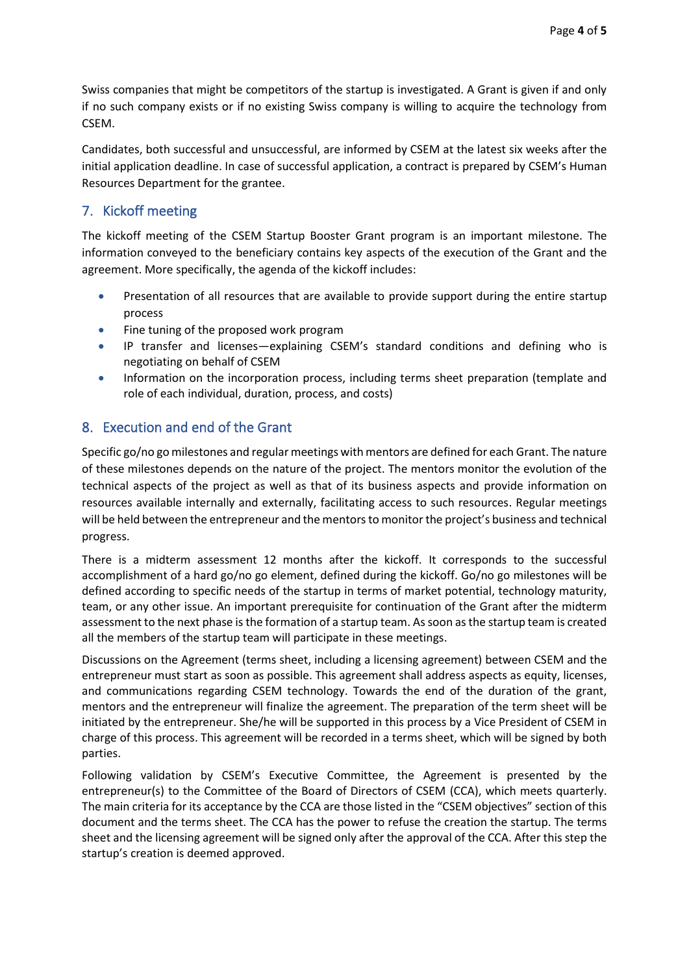Swiss companies that might be competitors of the startup is investigated. A Grant is given if and only if no such company exists or if no existing Swiss company is willing to acquire the technology from CSEM.

Candidates, both successful and unsuccessful, are informed by CSEM at the latest six weeks after the initial application deadline. In case of successful application, a contract is prepared by CSEM's Human Resources Department for the grantee.

## 7. Kickoff meeting

The kickoff meeting of the CSEM Startup Booster Grant program is an important milestone. The information conveyed to the beneficiary contains key aspects of the execution of the Grant and the agreement. More specifically, the agenda of the kickoff includes:

- Presentation of all resources that are available to provide support during the entire startup process
- Fine tuning of the proposed work program
- IP transfer and licenses—explaining CSEM's standard conditions and defining who is negotiating on behalf of CSEM
- Information on the incorporation process, including terms sheet preparation (template and role of each individual, duration, process, and costs)

# 8. Execution and end of the Grant

Specific go/no go milestones and regular meetings with mentors are defined for each Grant. The nature of these milestones depends on the nature of the project. The mentors monitor the evolution of the technical aspects of the project as well as that of its business aspects and provide information on resources available internally and externally, facilitating access to such resources. Regular meetings will be held between the entrepreneur and the mentors to monitor the project's business and technical progress.

There is a midterm assessment 12 months after the kickoff. It corresponds to the successful accomplishment of a hard go/no go element, defined during the kickoff. Go/no go milestones will be defined according to specific needs of the startup in terms of market potential, technology maturity, team, or any other issue. An important prerequisite for continuation of the Grant after the midterm assessment to the next phase is the formation of a startup team. As soon as the startup team is created all the members of the startup team will participate in these meetings.

Discussions on the Agreement (terms sheet, including a licensing agreement) between CSEM and the entrepreneur must start as soon as possible. This agreement shall address aspects as equity, licenses, and communications regarding CSEM technology. Towards the end of the duration of the grant, mentors and the entrepreneur will finalize the agreement. The preparation of the term sheet will be initiated by the entrepreneur. She/he will be supported in this process by a Vice President of CSEM in charge of this process. This agreement will be recorded in a terms sheet, which will be signed by both parties.

Following validation by CSEM's Executive Committee, the Agreement is presented by the entrepreneur(s) to the Committee of the Board of Directors of CSEM (CCA), which meets quarterly. The main criteria for its acceptance by the CCA are those listed in the "CSEM objectives" section of this document and the terms sheet. The CCA has the power to refuse the creation the startup. The terms sheet and the licensing agreement will be signed only after the approval of the CCA. After this step the startup's creation is deemed approved.